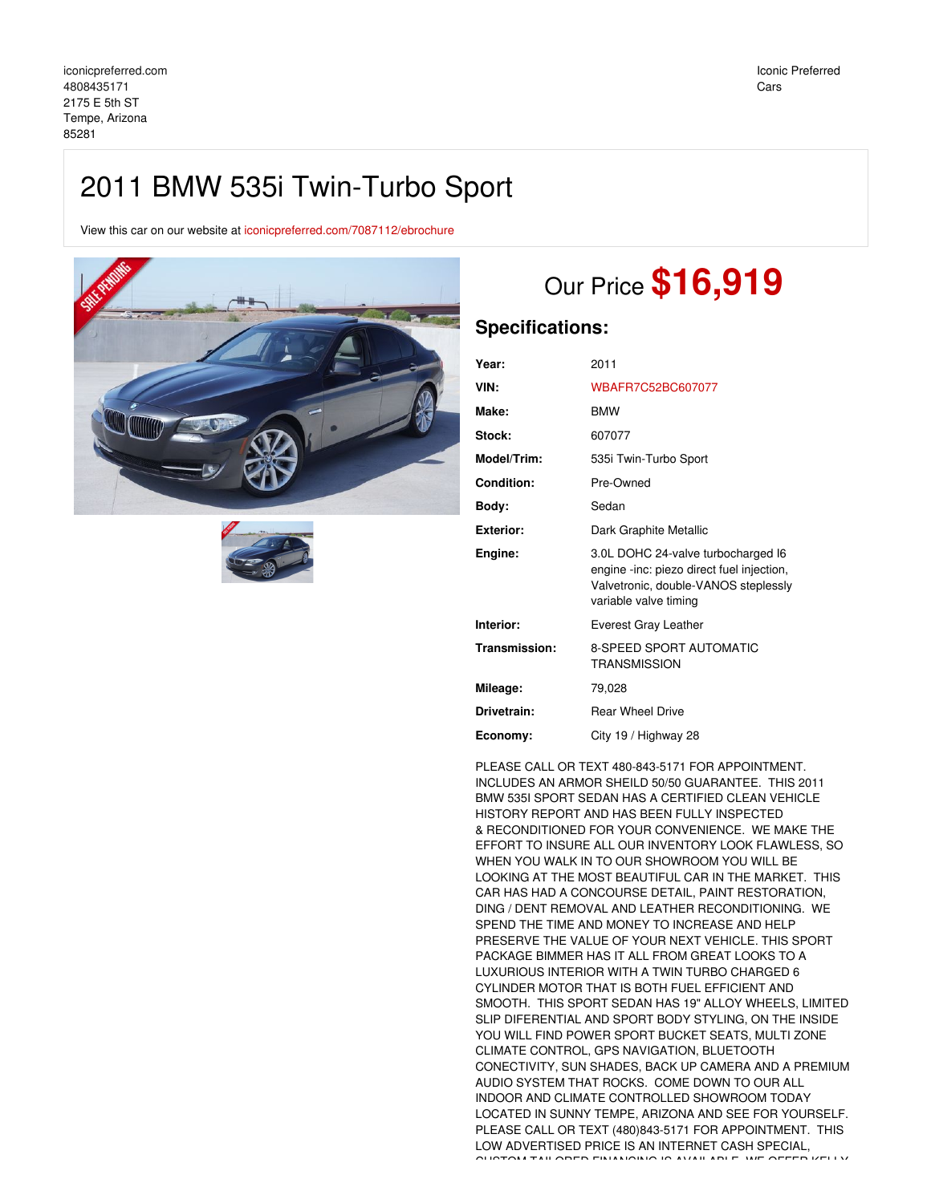## 2011 BMW 535i Twin-Turbo Sport

View this car on our website at [iconicpreferred.com/7087112/ebrochure](https://iconicpreferred.com/vehicle/7087112/2011-bmw-535i-twin-turbo-sport-tempe-arizona-85281/7087112/ebrochure)





# Our Price **\$16,919**

## **Specifications:**

| Year:              | 2011                                                                                                                                             |  |
|--------------------|--------------------------------------------------------------------------------------------------------------------------------------------------|--|
| VIN:               | WBAFR7C52BC607077                                                                                                                                |  |
| Make:              | <b>BMW</b>                                                                                                                                       |  |
| Stock:             | 607077                                                                                                                                           |  |
| <b>Model/Trim:</b> | 535i Twin-Turbo Sport                                                                                                                            |  |
| <b>Condition:</b>  | Pre-Owned                                                                                                                                        |  |
| Body:              | Sedan                                                                                                                                            |  |
| Exterior:          | Dark Graphite Metallic                                                                                                                           |  |
| Engine:            | 3.0L DOHC 24-valve turbocharged I6<br>engine -inc: piezo direct fuel injection,<br>Valvetronic, double-VANOS steplessly<br>variable valve timing |  |
| Interior:          | Everest Gray Leather                                                                                                                             |  |
| Transmission:      | <b>8-SPEED SPORT AUTOMATIC</b><br><b>TRANSMISSION</b>                                                                                            |  |
| Mileage:           | 79,028                                                                                                                                           |  |
| Drivetrain:        | <b>Rear Wheel Drive</b>                                                                                                                          |  |
| Economy:           | City 19 / Highway 28                                                                                                                             |  |

PLEASE CALL OR TEXT 480-843-5171 FOR APPOINTMENT. INCLUDES AN ARMOR SHEILD 50/50 GUARANTEE. THIS 2011 BMW 535I SPORT SEDAN HAS A CERTIFIED CLEAN VEHICLE HISTORY REPORT AND HAS BEEN FULLY INSPECTED & RECONDITIONED FOR YOUR CONVENIENCE. WE MAKE THE EFFORT TO INSURE ALL OUR INVENTORY LOOK FLAWLESS, SO WHEN YOU WALK IN TO OUR SHOWROOM YOU WILL BE LOOKING AT THE MOST BEAUTIFUL CAR IN THE MARKET. THIS CAR HAS HAD A CONCOURSE DETAIL, PAINT RESTORATION, DING / DENT REMOVAL AND LEATHER RECONDITIONING. WE SPEND THE TIME AND MONEY TO INCREASE AND HELP PRESERVE THE VALUE OF YOUR NEXT VEHICLE. THIS SPORT PACKAGE BIMMER HAS IT ALL FROM GREAT LOOKS TO A LUXURIOUS INTERIOR WITH A TWIN TURBO CHARGED 6 CYLINDER MOTOR THAT IS BOTH FUEL EFFICIENT AND SMOOTH. THIS SPORT SEDAN HAS 19" ALLOY WHEELS, LIMITED SLIP DIFERENTIAL AND SPORT BODY STYLING, ON THE INSIDE YOU WILL FIND POWER SPORT BUCKET SEATS, MULTI ZONE CLIMATE CONTROL, GPS NAVIGATION, BLUETOOTH CONECTIVITY, SUN SHADES, BACK UP CAMERA AND A PREMIUM AUDIO SYSTEM THAT ROCKS. COME DOWN TO OUR ALL INDOOR AND CLIMATE CONTROLLED SHOWROOM TODAY LOCATED IN SUNNY TEMPE, ARIZONA AND SEE FOR YOURSELF. PLEASE CALL OR TEXT (480)843-5171 FOR APPOINTMENT. THIS LOW ADVERTISED PRICE IS AN INTERNET CASH SPECIAL, CUSTOM TAILORED FINANCING IS AVAILABLE. WE OFFER KELLY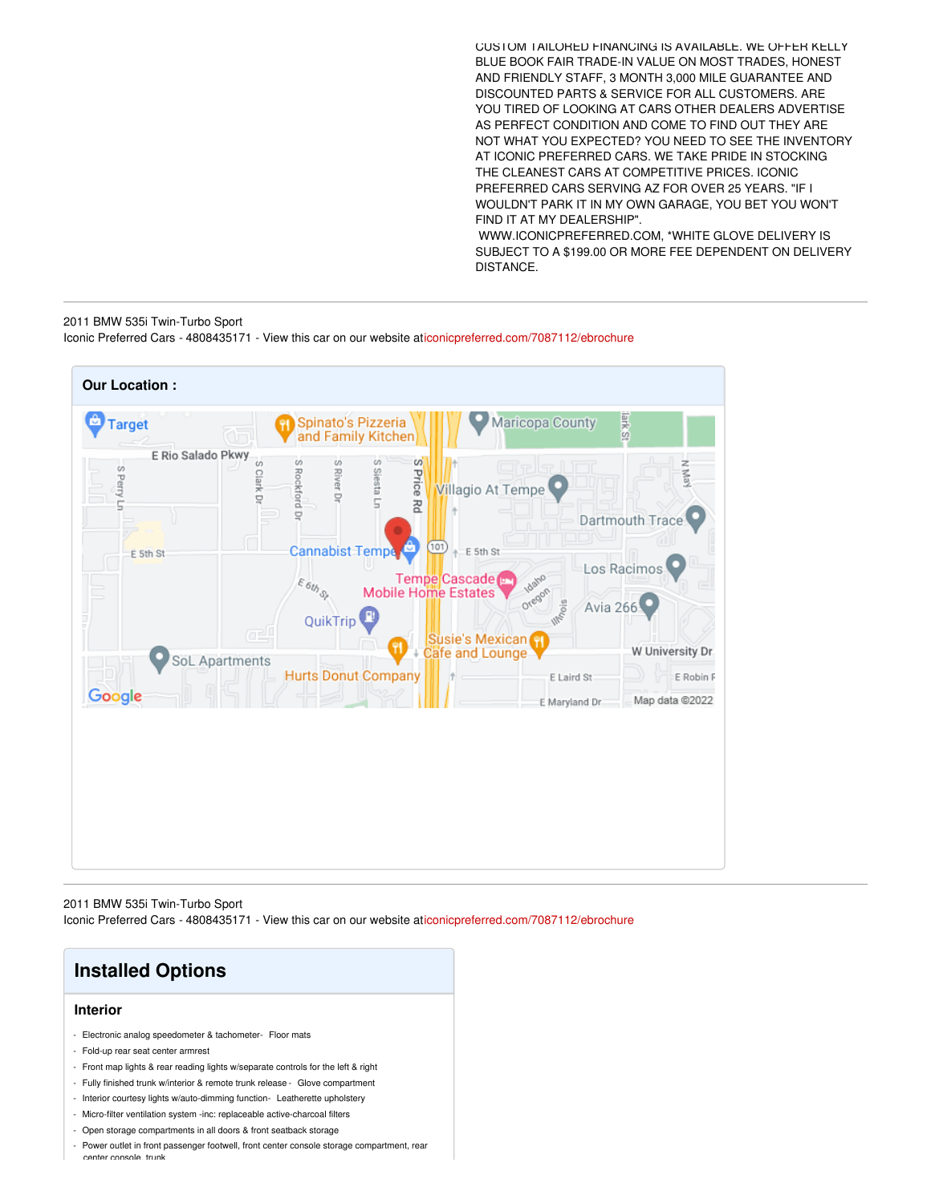CUSTOM TAILORED FINANCING IS AVAILABLE. WE OFFER KELLY BLUE BOOK FAIR TRADE-IN VALUE ON MOST TRADES, HONEST AND FRIENDLY STAFF, 3 MONTH 3,000 MILE GUARANTEE AND DISCOUNTED PARTS & SERVICE FOR ALL CUSTOMERS. ARE YOU TIRED OF LOOKING AT CARS OTHER DEALERS ADVERTISE AS PERFECT CONDITION AND COME TO FIND OUT THEY ARE NOT WHAT YOU EXPECTED? YOU NEED TO SEE THE INVENTORY AT ICONIC PREFERRED CARS. WE TAKE PRIDE IN STOCKING THE CLEANEST CARS AT COMPETITIVE PRICES. ICONIC PREFERRED CARS SERVING AZ FOR OVER 25 YEARS. "IF I WOULDN'T PARK IT IN MY OWN GARAGE, YOU BET YOU WON'T FIND IT AT MY DEALERSHIP". WWW.ICONICPREFERRED.COM, \*WHITE GLOVE DELIVERY IS SUBJECT TO A \$199.00 OR MORE FEE DEPENDENT ON DELIVERY

## 2011 BMW 535i Twin-Turbo Sport Iconic Preferred Cars - 4808435171 - View this car on our website a[ticonicpreferred.com/7087112/ebrochure](https://iconicpreferred.com/vehicle/7087112/2011-bmw-535i-twin-turbo-sport-tempe-arizona-85281/7087112/ebrochure)

DISTANCE.



2011 BMW 535i Twin-Turbo Sport Iconic Preferred Cars - 4808435171 - View this car on our website a[ticonicpreferred.com/7087112/ebrochure](https://iconicpreferred.com/vehicle/7087112/2011-bmw-535i-twin-turbo-sport-tempe-arizona-85281/7087112/ebrochure)



Power outlet in front passenger footwell, front center console storage compartment, rear center console, trunk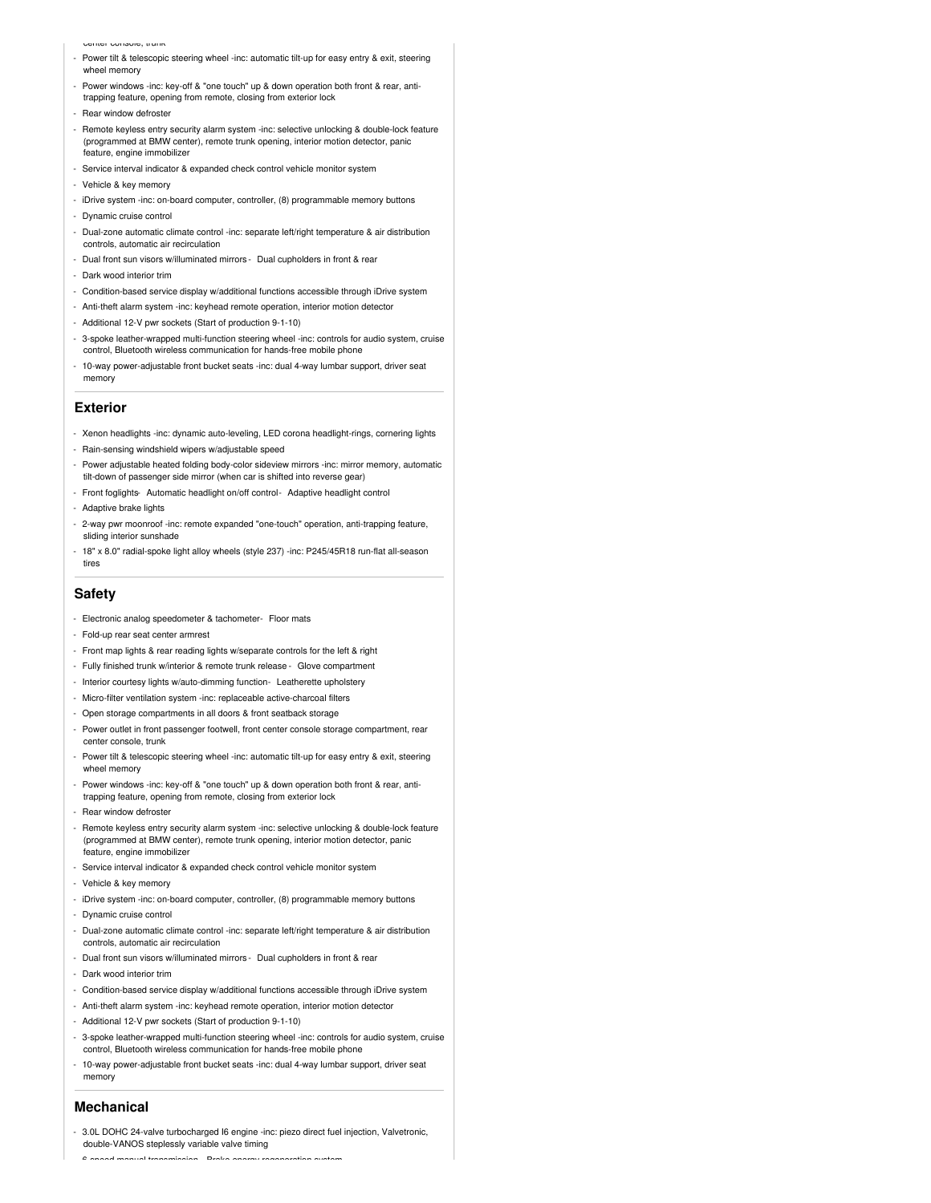#### center console, trunk

- Power tilt & telescopic steering wheel -inc: automatic tilt-up for easy entry & exit, steering wheel memory
- Power windows -inc: key-off & "one touch" up & down operation both front & rear, antitrapping feature, opening from remote, closing from exterior lock
- Rear window defroster
- Remote keyless entry security alarm system -inc: selective unlocking & double-lock feature (programmed at BMW center), remote trunk opening, interior motion detector, panic feature, engine immobilizer
- Service interval indicator & expanded check control vehicle monitor system
- Vehicle & key memory
- iDrive system -inc: on-board computer, controller, (8) programmable memory buttons
- Dynamic cruise control
- Dual-zone automatic climate control -inc: separate left/right temperature & air distribution controls, automatic air recirculation
- Dual front sun visors w/illuminated mirrors Dual cupholders in front & rear
- Dark wood interior trim
- Condition-based service display w/additional functions accessible through iDrive system
- Anti-theft alarm system -inc: keyhead remote operation, interior motion detector
- Additional 12-V pwr sockets (Start of production 9-1-10)
- 3-spoke leather-wrapped multi-function steering wheel -inc: controls for audio system, cruise control, Bluetooth wireless communication for hands-free mobile phone
- 10-way power-adjustable front bucket seats -inc: dual 4-way lumbar support, driver seat memory

## **Exterior**

- Xenon headlights -inc: dynamic auto-leveling, LED corona headlight-rings, cornering lights
- Rain-sensing windshield wipers w/adjustable speed
- Power adjustable heated folding body-color sideview mirrors -inc: mirror memory, automatic tilt-down of passenger side mirror (when car is shifted into reverse gear)
- Front foglights- Automatic headlight on/off control- Adaptive headlight control
- Adaptive brake lights
- 2-way pwr moonroof -inc: remote expanded "one-touch" operation, anti-trapping feature, sliding interior sunshade
- 18" x 8.0" radial-spoke light alloy wheels (style 237) -inc: P245/45R18 run-flat all-season tires

## **Safety**

- Electronic analog speedometer & tachometer- Floor mats
- Fold-up rear seat center armrest
- Front map lights & rear reading lights w/separate controls for the left & right
- Fully finished trunk w/interior & remote trunk release Glove compartment
- Interior courtesy lights w/auto-dimming function- Leatherette upholstery
- Micro-filter ventilation system -inc: replaceable active-charcoal filters
- Open storage compartments in all doors & front seatback storage
- Power outlet in front passenger footwell, front center console storage compartment, rear center console, trunk
- Power tilt & telescopic steering wheel -inc: automatic tilt-up for easy entry & exit, steering wheel memory
- Power windows -inc: key-off & "one touch" up & down operation both front & rear, antitrapping feature, opening from remote, closing from exterior lock
- Rear window defroster
- Remote keyless entry security alarm system -inc: selective unlocking & double-lock feature (programmed at BMW center), remote trunk opening, interior motion detector, panic feature, engine immobilizer
- Service interval indicator & expanded check control vehicle monitor system
- Vehicle & key memory
- iDrive system -inc: on-board computer, controller, (8) programmable memory buttons
- Dynamic cruise control
- Dual-zone automatic climate control -inc: separate left/right temperature & air distribution controls, automatic air recirculation
- Dual front sun visors w/illuminated mirrors Dual cupholders in front & rear
- Dark wood interior trim
- Condition-based service display w/additional functions accessible through iDrive system
- Anti-theft alarm system -inc: keyhead remote operation, interior motion detector
- Additional 12-V pwr sockets (Start of production 9-1-10)
- 3-spoke leather-wrapped multi-function steering wheel -inc: controls for audio system, cruise control, Bluetooth wireless communication for hands-free mobile phone
- 10-way power-adjustable front bucket seats -inc: dual 4-way lumbar support, driver seat memory

### **Mechanical**

- 3.0L DOHC 24-valve turbocharged I6 engine -inc: piezo direct fuel injection, Valvetronic, double-VANOS steplessly variable valve timing
	- 6-speed manual transmission- Brake energy regeneration system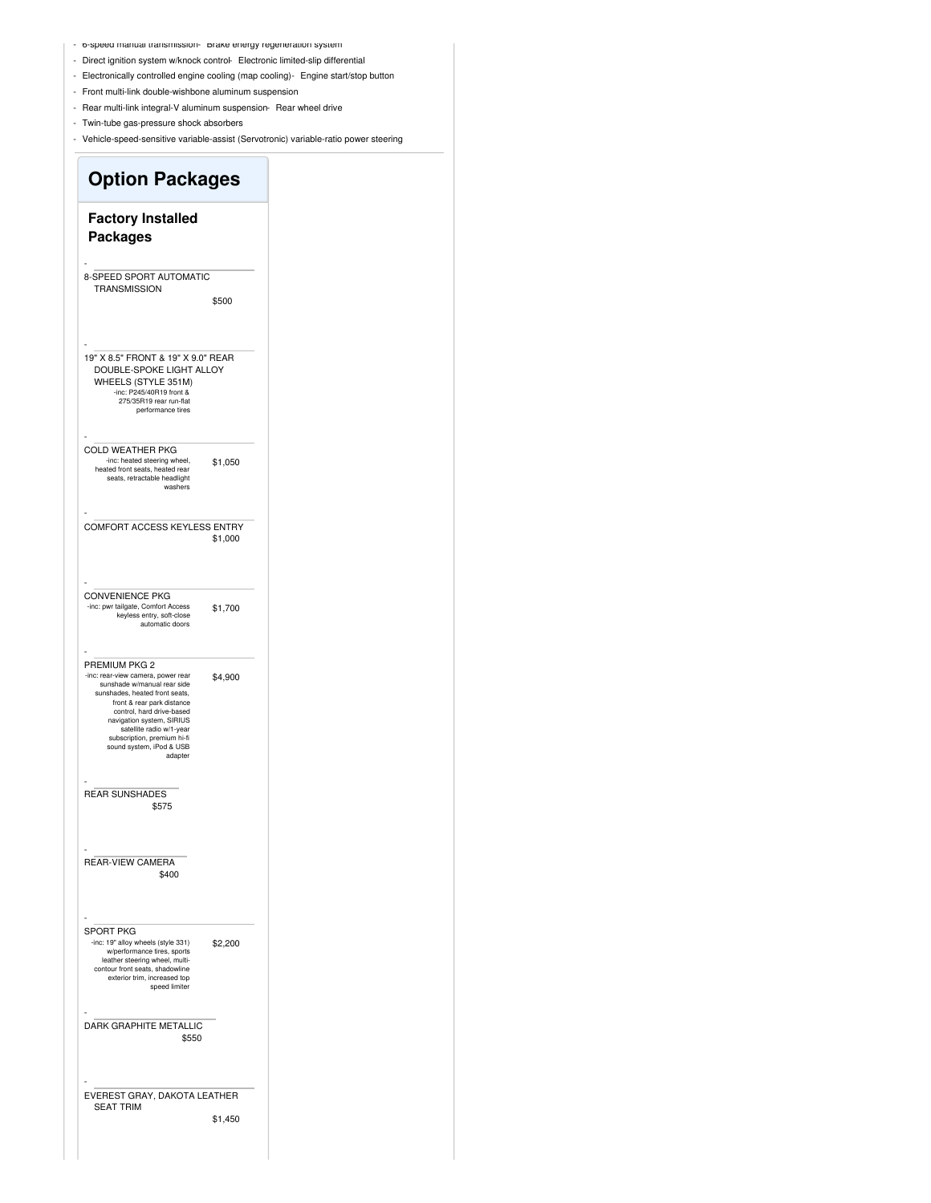- b-speed manual transmission- Brake energy regeneration system
- Direct ignition system w/knock control- Electronic limited-slip differential
- Electronically controlled engine cooling (map cooling)- Engine start/stop button
- Front multi-link double-wishbone aluminum suspension
- Rear multi-link integral-V aluminum suspension- Rear wheel drive
- Twin-tube gas-pressure shock absorbers
- Vehicle-speed-sensitive variable-assist (Servotronic) variable-ratio power steering

| <b>Option Packages</b>                                                                                                                                                                                                                                                                                         |         |
|----------------------------------------------------------------------------------------------------------------------------------------------------------------------------------------------------------------------------------------------------------------------------------------------------------------|---------|
| <b>Factory Installed</b><br><b>Packages</b>                                                                                                                                                                                                                                                                    |         |
| 8-SPEED SPORT AUTOMATIC<br><b>TRANSMISSION</b>                                                                                                                                                                                                                                                                 | \$500   |
| 19" X 8.5" FRONT & 19" X 9.0" REAR<br>DOUBLE-SPOKE LIGHT ALLOY<br>WHEELS (STYLE 351M)<br>-inc: P245/40R19 front &<br>275/35R19 rear run-flat<br>performance tires                                                                                                                                              |         |
| <b>COLD WEATHER PKG</b><br>-inc: heated steering wheel,<br>heated front seats, heated rear<br>seats, retractable headlight<br>washers                                                                                                                                                                          | \$1,050 |
| COMFORT ACCESS KEYLESS ENTRY                                                                                                                                                                                                                                                                                   | \$1,000 |
| <b>CONVENIENCE PKG</b><br>-inc: pwr tailgate, Comfort Access<br>keyless entry, soft-close<br>automatic doors                                                                                                                                                                                                   | \$1,700 |
| PREMIUM PKG 2<br>-inc: rear-view camera, power rear<br>sunshade w/manual rear side<br>sunshades, heated front seats,<br>front & rear park distance<br>control, hard drive-based<br>navigation system, SIRIUS<br>satellite radio w/1-year<br>subscription, premium hi-fi<br>sound system, iPod & USB<br>adapter | \$4,900 |
| <b>REAR SUNSHADES</b><br>\$575                                                                                                                                                                                                                                                                                 |         |
| <b>REAR-VIEW CAMERA</b><br>\$400                                                                                                                                                                                                                                                                               |         |
| <b>SPORT PKG</b><br>-inc: 19" alloy wheels (style 331)<br>w/performance tires, sports<br>leather steering wheel, multi-<br>contour front seats, shadowline<br>exterior trim, increased top<br>speed limiter                                                                                                    | \$2,200 |
| DARK GRAPHITE METALLIC<br>\$550                                                                                                                                                                                                                                                                                |         |
| EVEREST GRAY, DAKOTA LEATHER<br><b>SEAT TRIM</b>                                                                                                                                                                                                                                                               | \$1,450 |
|                                                                                                                                                                                                                                                                                                                |         |